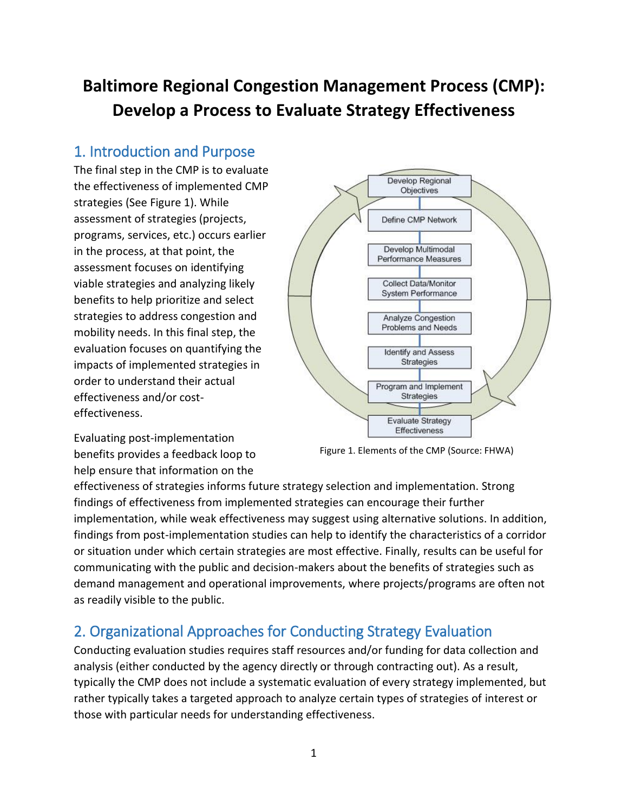# **Baltimore Regional Congestion Management Process (CMP): Develop a Process to Evaluate Strategy Effectiveness**

# 1. Introduction and Purpose

The final step in the CMP is to evaluate the effectiveness of implemented CMP strategies (See Figure 1). While assessment of strategies (projects, programs, services, etc.) occurs earlier in the process, at that point, the assessment focuses on identifying viable strategies and analyzing likely benefits to help prioritize and select strategies to address congestion and mobility needs. In this final step, the evaluation focuses on quantifying the impacts of implemented strategies in order to understand their actual effectiveness and/or costeffectiveness.



Evaluating post-implementation benefits provides a feedback loop to help ensure that information on the

Figure 1. Elements of the CMP (Source: FHWA)

effectiveness of strategies informs future strategy selection and implementation. Strong findings of effectiveness from implemented strategies can encourage their further implementation, while weak effectiveness may suggest using alternative solutions. In addition, findings from post-implementation studies can help to identify the characteristics of a corridor or situation under which certain strategies are most effective. Finally, results can be useful for communicating with the public and decision-makers about the benefits of strategies such as demand management and operational improvements, where projects/programs are often not as readily visible to the public.

# 2. Organizational Approaches for Conducting Strategy Evaluation

Conducting evaluation studies requires staff resources and/or funding for data collection and analysis (either conducted by the agency directly or through contracting out). As a result, typically the CMP does not include a systematic evaluation of every strategy implemented, but rather typically takes a targeted approach to analyze certain types of strategies of interest or those with particular needs for understanding effectiveness.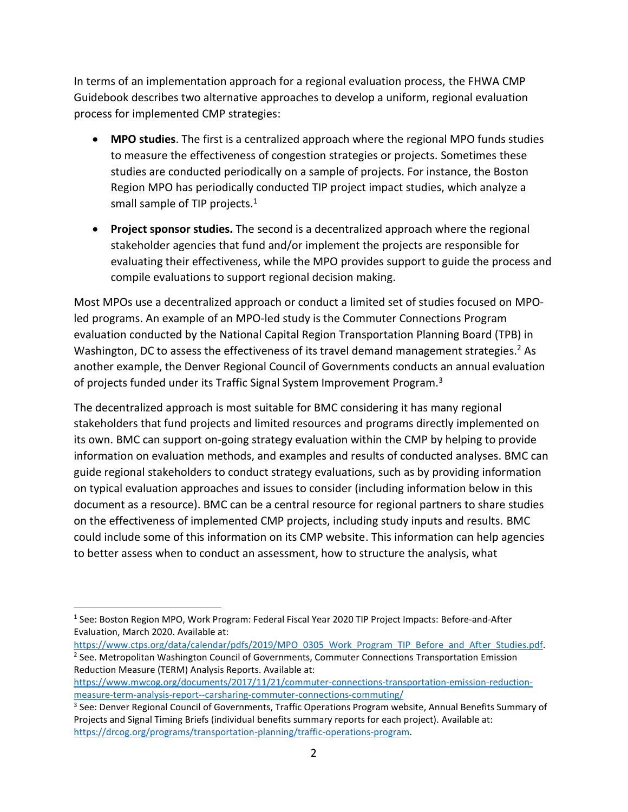In terms of an implementation approach for a regional evaluation process, the FHWA CMP Guidebook describes two alternative approaches to develop a uniform, regional evaluation process for implemented CMP strategies:

- **MPO studies**. The first is a centralized approach where the regional MPO funds studies to measure the effectiveness of congestion strategies or projects. Sometimes these studies are conducted periodically on a sample of projects. For instance, the Boston Region MPO has periodically conducted TIP project impact studies, which analyze a small sample of TIP projects.<sup>1</sup>
- **Project sponsor studies.** The second is a decentralized approach where the regional stakeholder agencies that fund and/or implement the projects are responsible for evaluating their effectiveness, while the MPO provides support to guide the process and compile evaluations to support regional decision making.

Most MPOs use a decentralized approach or conduct a limited set of studies focused on MPOled programs. An example of an MPO-led study is the Commuter Connections Program evaluation conducted by the National Capital Region Transportation Planning Board (TPB) in Washington, DC to assess the effectiveness of its travel demand management strategies.<sup>2</sup> As another example, the Denver Regional Council of Governments conducts an annual evaluation of projects funded under its Traffic Signal System Improvement Program.<sup>3</sup>

The decentralized approach is most suitable for BMC considering it has many regional stakeholders that fund projects and limited resources and programs directly implemented on its own. BMC can support on-going strategy evaluation within the CMP by helping to provide information on evaluation methods, and examples and results of conducted analyses. BMC can guide regional stakeholders to conduct strategy evaluations, such as by providing information on typical evaluation approaches and issues to consider (including information below in this document as a resource). BMC can be a central resource for regional partners to share studies on the effectiveness of implemented CMP projects, including study inputs and results. BMC could include some of this information on its CMP website. This information can help agencies to better assess when to conduct an assessment, how to structure the analysis, what

 $\overline{a}$ 

[https://www.mwcog.org/documents/2017/11/21/commuter-connections-transportation-emission-reduction](https://www.mwcog.org/documents/2017/11/21/commuter-connections-transportation-emission-reduction-measure-term-analysis-report--carsharing-commuter-connections-commuting/)[measure-term-analysis-report--carsharing-commuter-connections-commuting/](https://www.mwcog.org/documents/2017/11/21/commuter-connections-transportation-emission-reduction-measure-term-analysis-report--carsharing-commuter-connections-commuting/)

<sup>&</sup>lt;sup>1</sup> See: Boston Region MPO, Work Program: Federal Fiscal Year 2020 TIP Project Impacts: Before-and-After Evaluation, March 2020. Available at:

[https://www.ctps.org/data/calendar/pdfs/2019/MPO\\_0305\\_Work\\_Program\\_TIP\\_Before\\_and\\_After\\_Studies.pdf.](https://www.ctps.org/data/calendar/pdfs/2019/MPO_0305_Work_Program_TIP_Before_and_After_Studies.pdf) <sup>2</sup> See. Metropolitan Washington Council of Governments, Commuter Connections Transportation Emission Reduction Measure (TERM) Analysis Reports. Available at:

<sup>3</sup> See: Denver Regional Council of Governments, Traffic Operations Program website, Annual Benefits Summary of Projects and Signal Timing Briefs (individual benefits summary reports for each project). Available at: [https://drcog.org/programs/transportation-planning/traffic-operations-program.](https://drcog.org/programs/transportation-planning/traffic-operations-program)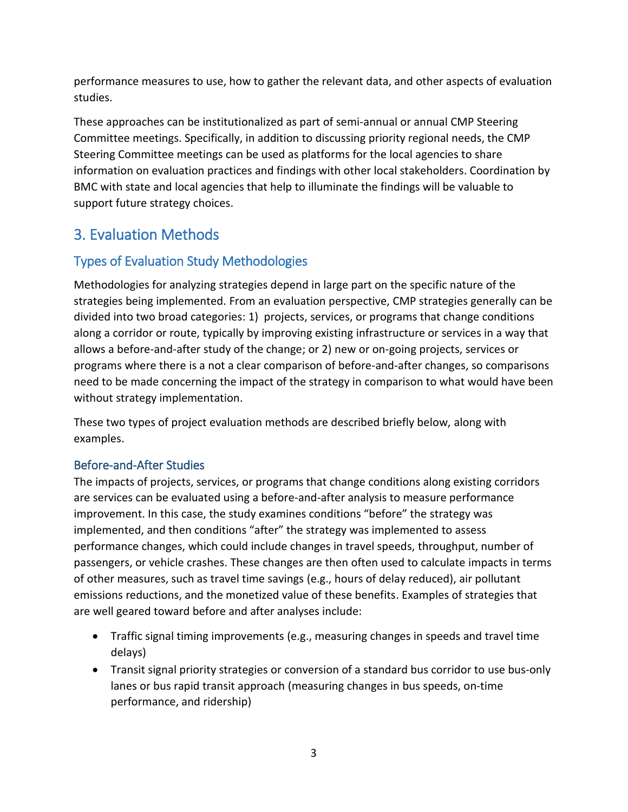performance measures to use, how to gather the relevant data, and other aspects of evaluation studies.

These approaches can be institutionalized as part of semi-annual or annual CMP Steering Committee meetings. Specifically, in addition to discussing priority regional needs, the CMP Steering Committee meetings can be used as platforms for the local agencies to share information on evaluation practices and findings with other local stakeholders. Coordination by BMC with state and local agencies that help to illuminate the findings will be valuable to support future strategy choices.

# 3. Evaluation Methods

## Types of Evaluation Study Methodologies

Methodologies for analyzing strategies depend in large part on the specific nature of the strategies being implemented. From an evaluation perspective, CMP strategies generally can be divided into two broad categories: 1) projects, services, or programs that change conditions along a corridor or route, typically by improving existing infrastructure or services in a way that allows a before-and-after study of the change; or 2) new or on-going projects, services or programs where there is a not a clear comparison of before-and-after changes, so comparisons need to be made concerning the impact of the strategy in comparison to what would have been without strategy implementation.

These two types of project evaluation methods are described briefly below, along with examples.

### Before-and-After Studies

The impacts of projects, services, or programs that change conditions along existing corridors are services can be evaluated using a before-and-after analysis to measure performance improvement. In this case, the study examines conditions "before" the strategy was implemented, and then conditions "after" the strategy was implemented to assess performance changes, which could include changes in travel speeds, throughput, number of passengers, or vehicle crashes. These changes are then often used to calculate impacts in terms of other measures, such as travel time savings (e.g., hours of delay reduced), air pollutant emissions reductions, and the monetized value of these benefits. Examples of strategies that are well geared toward before and after analyses include:

- Traffic signal timing improvements (e.g., measuring changes in speeds and travel time delays)
- Transit signal priority strategies or conversion of a standard bus corridor to use bus-only lanes or bus rapid transit approach (measuring changes in bus speeds, on-time performance, and ridership)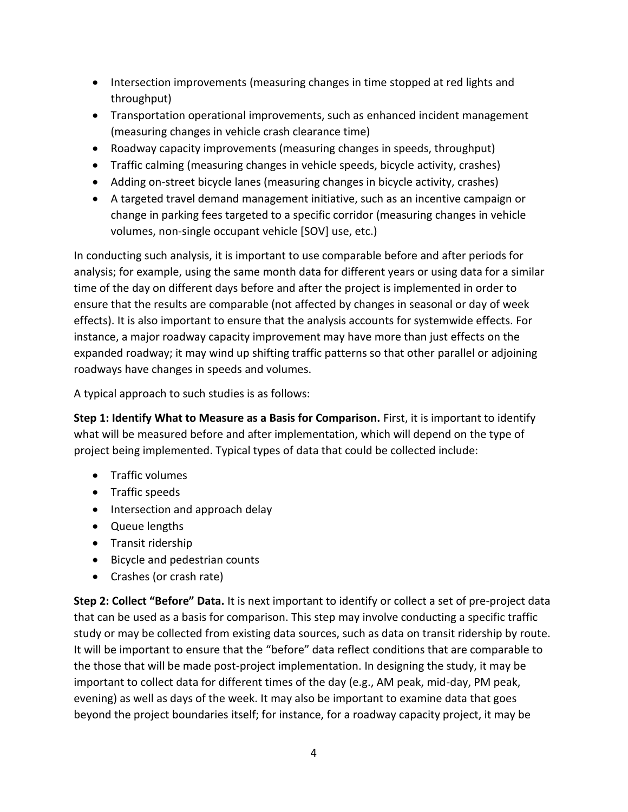- Intersection improvements (measuring changes in time stopped at red lights and throughput)
- Transportation operational improvements, such as enhanced incident management (measuring changes in vehicle crash clearance time)
- Roadway capacity improvements (measuring changes in speeds, throughput)
- Traffic calming (measuring changes in vehicle speeds, bicycle activity, crashes)
- Adding on-street bicycle lanes (measuring changes in bicycle activity, crashes)
- A targeted travel demand management initiative, such as an incentive campaign or change in parking fees targeted to a specific corridor (measuring changes in vehicle volumes, non-single occupant vehicle [SOV] use, etc.)

In conducting such analysis, it is important to use comparable before and after periods for analysis; for example, using the same month data for different years or using data for a similar time of the day on different days before and after the project is implemented in order to ensure that the results are comparable (not affected by changes in seasonal or day of week effects). It is also important to ensure that the analysis accounts for systemwide effects. For instance, a major roadway capacity improvement may have more than just effects on the expanded roadway; it may wind up shifting traffic patterns so that other parallel or adjoining roadways have changes in speeds and volumes.

A typical approach to such studies is as follows:

**Step 1: Identify What to Measure as a Basis for Comparison.** First, it is important to identify what will be measured before and after implementation, which will depend on the type of project being implemented. Typical types of data that could be collected include:

- Traffic volumes
- Traffic speeds
- Intersection and approach delay
- Queue lengths
- Transit ridership
- Bicycle and pedestrian counts
- Crashes (or crash rate)

**Step 2: Collect "Before" Data.** It is next important to identify or collect a set of pre-project data that can be used as a basis for comparison. This step may involve conducting a specific traffic study or may be collected from existing data sources, such as data on transit ridership by route. It will be important to ensure that the "before" data reflect conditions that are comparable to the those that will be made post-project implementation. In designing the study, it may be important to collect data for different times of the day (e.g., AM peak, mid-day, PM peak, evening) as well as days of the week. It may also be important to examine data that goes beyond the project boundaries itself; for instance, for a roadway capacity project, it may be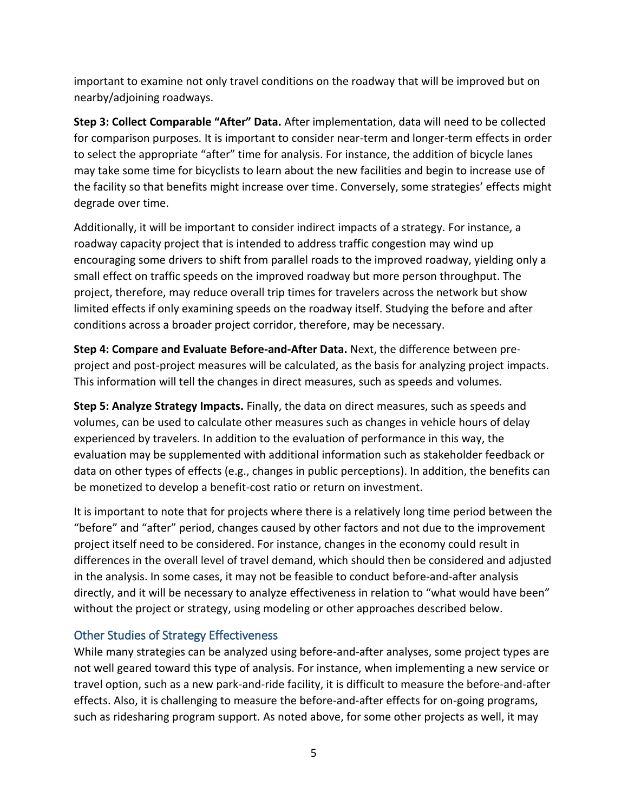important to examine not only travel conditions on the roadway that will be improved but on nearby/adjoining roadways.

**Step 3: Collect Comparable "After" Data.** After implementation, data will need to be collected for comparison purposes. It is important to consider near-term and longer-term effects in order to select the appropriate "after" time for analysis. For instance, the addition of bicycle lanes may take some time for bicyclists to learn about the new facilities and begin to increase use of the facility so that benefits might increase over time. Conversely, some strategies' effects might degrade over time.

Additionally, it will be important to consider indirect impacts of a strategy. For instance, a roadway capacity project that is intended to address traffic congestion may wind up encouraging some drivers to shift from parallel roads to the improved roadway, yielding only a small effect on traffic speeds on the improved roadway but more person throughput. The project, therefore, may reduce overall trip times for travelers across the network but show limited effects if only examining speeds on the roadway itself. Studying the before and after conditions across a broader project corridor, therefore, may be necessary.

**Step 4: Compare and Evaluate Before-and-After Data.** Next, the difference between preproject and post-project measures will be calculated, as the basis for analyzing project impacts. This information will tell the changes in direct measures, such as speeds and volumes.

**Step 5: Analyze Strategy Impacts.** Finally, the data on direct measures, such as speeds and volumes, can be used to calculate other measures such as changes in vehicle hours of delay experienced by travelers. In addition to the evaluation of performance in this way, the evaluation may be supplemented with additional information such as stakeholder feedback or data on other types of effects (e.g., changes in public perceptions). In addition, the benefits can be monetized to develop a benefit-cost ratio or return on investment.

It is important to note that for projects where there is a relatively long time period between the "before" and "after" period, changes caused by other factors and not due to the improvement project itself need to be considered. For instance, changes in the economy could result in differences in the overall level of travel demand, which should then be considered and adjusted in the analysis. In some cases, it may not be feasible to conduct before-and-after analysis directly, and it will be necessary to analyze effectiveness in relation to "what would have been" without the project or strategy, using modeling or other approaches described below.

#### Other Studies of Strategy Effectiveness

While many strategies can be analyzed using before-and-after analyses, some project types are not well geared toward this type of analysis. For instance, when implementing a new service or travel option, such as a new park-and-ride facility, it is difficult to measure the before-and-after effects. Also, it is challenging to measure the before-and-after effects for on-going programs, such as ridesharing program support. As noted above, for some other projects as well, it may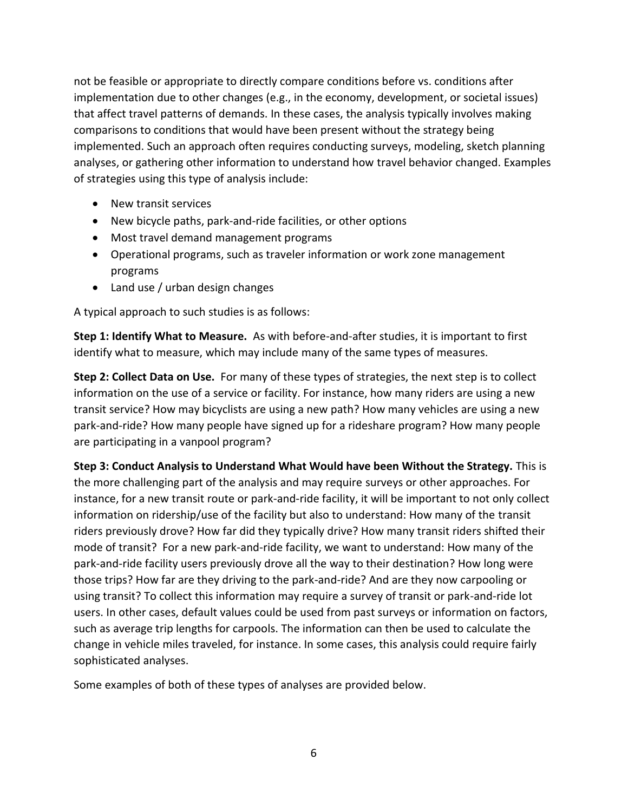not be feasible or appropriate to directly compare conditions before vs. conditions after implementation due to other changes (e.g., in the economy, development, or societal issues) that affect travel patterns of demands. In these cases, the analysis typically involves making comparisons to conditions that would have been present without the strategy being implemented. Such an approach often requires conducting surveys, modeling, sketch planning analyses, or gathering other information to understand how travel behavior changed. Examples of strategies using this type of analysis include:

- New transit services
- New bicycle paths, park-and-ride facilities, or other options
- Most travel demand management programs
- Operational programs, such as traveler information or work zone management programs
- Land use / urban design changes

A typical approach to such studies is as follows:

**Step 1: Identify What to Measure.** As with before-and-after studies, it is important to first identify what to measure, which may include many of the same types of measures.

**Step 2: Collect Data on Use.** For many of these types of strategies, the next step is to collect information on the use of a service or facility. For instance, how many riders are using a new transit service? How may bicyclists are using a new path? How many vehicles are using a new park-and-ride? How many people have signed up for a rideshare program? How many people are participating in a vanpool program?

**Step 3: Conduct Analysis to Understand What Would have been Without the Strategy.** This is the more challenging part of the analysis and may require surveys or other approaches. For instance, for a new transit route or park-and-ride facility, it will be important to not only collect information on ridership/use of the facility but also to understand: How many of the transit riders previously drove? How far did they typically drive? How many transit riders shifted their mode of transit? For a new park-and-ride facility, we want to understand: How many of the park-and-ride facility users previously drove all the way to their destination? How long were those trips? How far are they driving to the park-and-ride? And are they now carpooling or using transit? To collect this information may require a survey of transit or park-and-ride lot users. In other cases, default values could be used from past surveys or information on factors, such as average trip lengths for carpools. The information can then be used to calculate the change in vehicle miles traveled, for instance. In some cases, this analysis could require fairly sophisticated analyses.

Some examples of both of these types of analyses are provided below.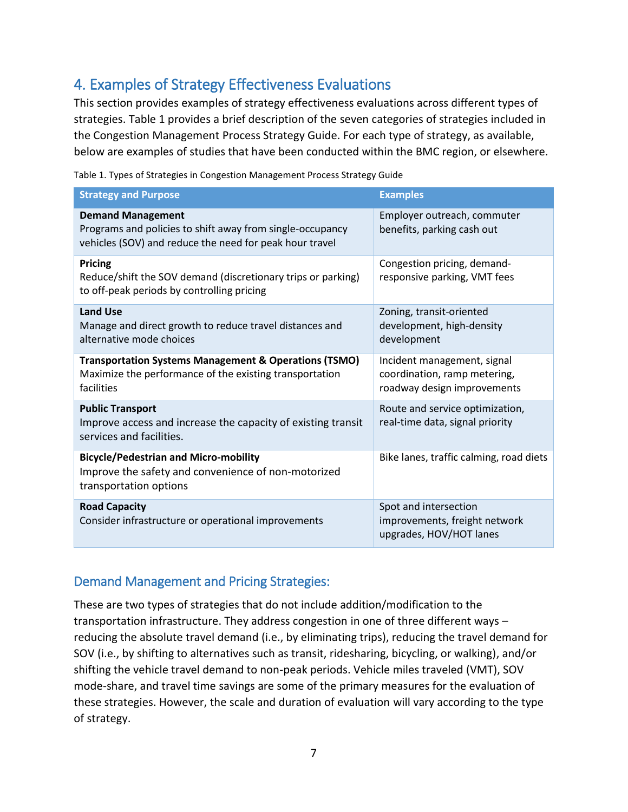# 4. Examples of Strategy Effectiveness Evaluations

This section provides examples of strategy effectiveness evaluations across different types of strategies. Table 1 provides a brief description of the seven categories of strategies included in the Congestion Management Process Strategy Guide. For each type of strategy, as available, below are examples of studies that have been conducted within the BMC region, or elsewhere.

| Table 1. Types of Strategies in Congestion Management Process Strategy Guide |  |
|------------------------------------------------------------------------------|--|
|                                                                              |  |

| <b>Strategy and Purpose</b>                                                                                                                      | <b>Examples</b>                                                                            |
|--------------------------------------------------------------------------------------------------------------------------------------------------|--------------------------------------------------------------------------------------------|
| <b>Demand Management</b><br>Programs and policies to shift away from single-occupancy<br>vehicles (SOV) and reduce the need for peak hour travel | Employer outreach, commuter<br>benefits, parking cash out                                  |
| <b>Pricing</b><br>Reduce/shift the SOV demand (discretionary trips or parking)<br>to off-peak periods by controlling pricing                     | Congestion pricing, demand-<br>responsive parking, VMT fees                                |
| <b>Land Use</b><br>Manage and direct growth to reduce travel distances and<br>alternative mode choices                                           | Zoning, transit-oriented<br>development, high-density<br>development                       |
| <b>Transportation Systems Management &amp; Operations (TSMO)</b><br>Maximize the performance of the existing transportation<br>facilities        | Incident management, signal<br>coordination, ramp metering,<br>roadway design improvements |
| <b>Public Transport</b><br>Improve access and increase the capacity of existing transit<br>services and facilities.                              | Route and service optimization,<br>real-time data, signal priority                         |
| <b>Bicycle/Pedestrian and Micro-mobility</b><br>Improve the safety and convenience of non-motorized<br>transportation options                    | Bike lanes, traffic calming, road diets                                                    |
| <b>Road Capacity</b><br>Consider infrastructure or operational improvements                                                                      | Spot and intersection<br>improvements, freight network<br>upgrades, HOV/HOT lanes          |

#### Demand Management and Pricing Strategies:

These are two types of strategies that do not include addition/modification to the transportation infrastructure. They address congestion in one of three different ways – reducing the absolute travel demand (i.e., by eliminating trips), reducing the travel demand for SOV (i.e., by shifting to alternatives such as transit, ridesharing, bicycling, or walking), and/or shifting the vehicle travel demand to non-peak periods. Vehicle miles traveled (VMT), SOV mode-share, and travel time savings are some of the primary measures for the evaluation of these strategies. However, the scale and duration of evaluation will vary according to the type of strategy.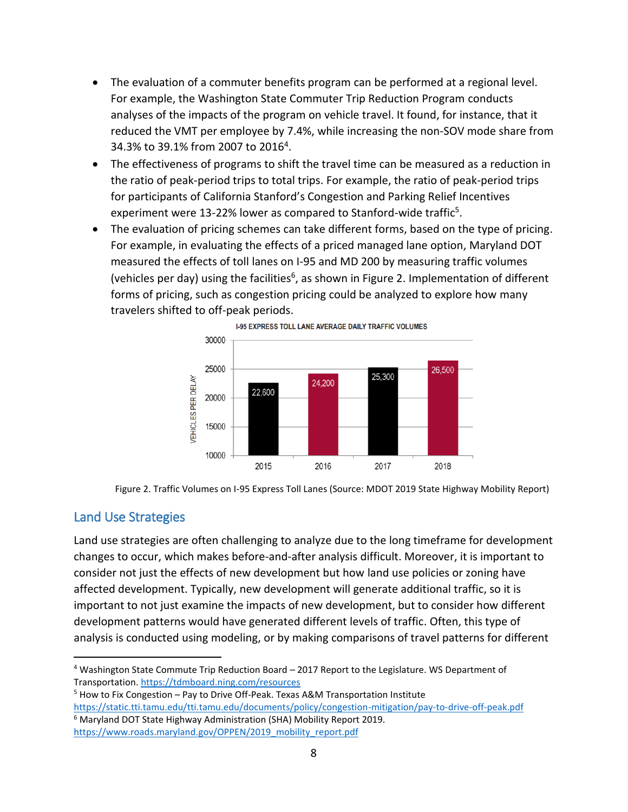- The evaluation of a commuter benefits program can be performed at a regional level. For example, the Washington State Commuter Trip Reduction Program conducts analyses of the impacts of the program on vehicle travel. It found, for instance, that it reduced the VMT per employee by 7.4%, while increasing the non-SOV mode share from 34.3% to 39.1% from 2007 to 2016<sup>4</sup>.
- The effectiveness of programs to shift the travel time can be measured as a reduction in the ratio of peak-period trips to total trips. For example, the ratio of peak-period trips for participants of California Stanford's Congestion and Parking Relief Incentives experiment were 13-22% lower as compared to Stanford-wide traffic<sup>5</sup>.
- The evaluation of pricing schemes can take different forms, based on the type of pricing. For example, in evaluating the effects of a priced managed lane option, Maryland DOT measured the effects of toll lanes on I-95 and MD 200 by measuring traffic volumes (vehicles per day) using the facilities<sup>6</sup>, as shown in Figure 2. Implementation of different forms of pricing, such as congestion pricing could be analyzed to explore how many travelers shifted to off-peak periods.





#### Land Use Strategies

Land use strategies are often challenging to analyze due to the long timeframe for development changes to occur, which makes before-and-after analysis difficult. Moreover, it is important to consider not just the effects of new development but how land use policies or zoning have affected development. Typically, new development will generate additional traffic, so it is important to not just examine the impacts of new development, but to consider how different development patterns would have generated different levels of traffic. Often, this type of analysis is conducted using modeling, or by making comparisons of travel patterns for different

 $\overline{a}$ <sup>4</sup> Washington State Commute Trip Reduction Board – 2017 Report to the Legislature. WS Department of Transportation[. https://tdmboard.ning.com/resources](https://tdmboard.ning.com/resources)

 $5$  How to Fix Congestion – Pay to Drive Off-Peak. Texas A&M Transportation Institute <https://static.tti.tamu.edu/tti.tamu.edu/documents/policy/congestion-mitigation/pay-to-drive-off-peak.pdf>

<sup>&</sup>lt;sup>6</sup> Maryland DOT State Highway Administration (SHA) Mobility Report 2019. [https://www.roads.maryland.gov/OPPEN/2019\\_mobility\\_report.pdf](https://www.roads.maryland.gov/OPPEN/2019_mobility_report.pdf)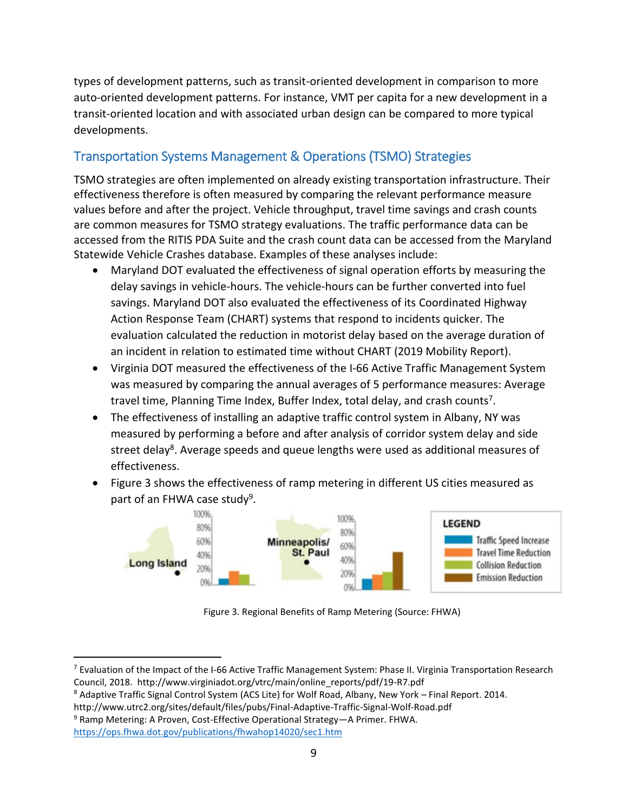types of development patterns, such as transit-oriented development in comparison to more auto-oriented development patterns. For instance, VMT per capita for a new development in a transit-oriented location and with associated urban design can be compared to more typical developments.

### Transportation Systems Management & Operations (TSMO) Strategies

TSMO strategies are often implemented on already existing transportation infrastructure. Their effectiveness therefore is often measured by comparing the relevant performance measure values before and after the project. Vehicle throughput, travel time savings and crash counts are common measures for TSMO strategy evaluations. The traffic performance data can be accessed from the RITIS PDA Suite and the crash count data can be accessed from the Maryland Statewide Vehicle Crashes database. Examples of these analyses include:

- Maryland DOT evaluated the effectiveness of signal operation efforts by measuring the delay savings in vehicle-hours. The vehicle-hours can be further converted into fuel savings. Maryland DOT also evaluated the effectiveness of its Coordinated Highway Action Response Team (CHART) systems that respond to incidents quicker. The evaluation calculated the reduction in motorist delay based on the average duration of an incident in relation to estimated time without CHART (2019 Mobility Report).
- Virginia DOT measured the effectiveness of the I-66 Active Traffic Management System was measured by comparing the annual averages of 5 performance measures: Average travel time, Planning Time Index, Buffer Index, total delay, and crash counts<sup>7</sup>.
- The effectiveness of installing an adaptive traffic control system in Albany, NY was measured by performing a before and after analysis of corridor system delay and side street delay<sup>8</sup>. Average speeds and queue lengths were used as additional measures of effectiveness.
- Figure 3 shows the effectiveness of ramp metering in different US cities measured as part of an FHWA case study<sup>9</sup>.



Figure 3. Regional Benefits of Ramp Metering (Source: FHWA)

 $\overline{a}$ 

<sup>&</sup>lt;sup>7</sup> Evaluation of the Impact of the I-66 Active Traffic Management System: Phase II. Virginia Transportation Research Council, 2018. http://www.virginiadot.org/vtrc/main/online\_reports/pdf/19-R7.pdf

<sup>8</sup> Adaptive Traffic Signal Control System (ACS Lite) for Wolf Road, Albany, New York – Final Report. 2014.

http://www.utrc2.org/sites/default/files/pubs/Final-Adaptive-Traffic-Signal-Wolf-Road.pdf

<sup>9</sup> Ramp Metering: A Proven, Cost-Effective Operational Strategy—A Primer. FHWA.

<https://ops.fhwa.dot.gov/publications/fhwahop14020/sec1.htm>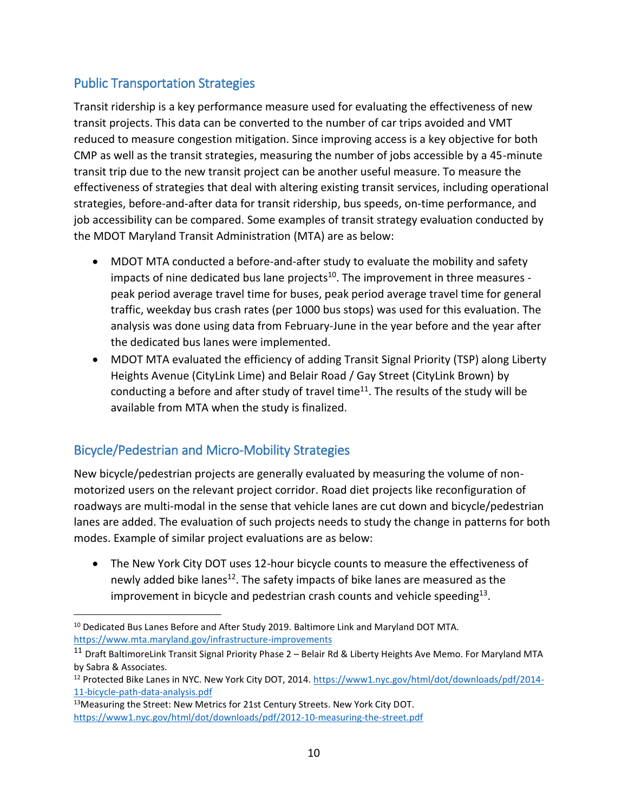### Public Transportation Strategies

Transit ridership is a key performance measure used for evaluating the effectiveness of new transit projects. This data can be converted to the number of car trips avoided and VMT reduced to measure congestion mitigation. Since improving access is a key objective for both CMP as well as the transit strategies, measuring the number of jobs accessible by a 45-minute transit trip due to the new transit project can be another useful measure. To measure the effectiveness of strategies that deal with altering existing transit services, including operational strategies, before-and-after data for transit ridership, bus speeds, on-time performance, and job accessibility can be compared. Some examples of transit strategy evaluation conducted by the MDOT Maryland Transit Administration (MTA) are as below:

- MDOT MTA conducted a before-and-after study to evaluate the mobility and safety impacts of nine dedicated bus lane projects<sup>10</sup>. The improvement in three measures peak period average travel time for buses, peak period average travel time for general traffic, weekday bus crash rates (per 1000 bus stops) was used for this evaluation. The analysis was done using data from February-June in the year before and the year after the dedicated bus lanes were implemented.
- MDOT MTA evaluated the efficiency of adding Transit Signal Priority (TSP) along Liberty Heights Avenue (CityLink Lime) and Belair Road / Gay Street (CityLink Brown) by conducting a before and after study of travel time<sup>11</sup>. The results of the study will be available from MTA when the study is finalized.

### Bicycle/Pedestrian and Micro-Mobility Strategies

 $\overline{a}$ 

New bicycle/pedestrian projects are generally evaluated by measuring the volume of nonmotorized users on the relevant project corridor. Road diet projects like reconfiguration of roadways are multi-modal in the sense that vehicle lanes are cut down and bicycle/pedestrian lanes are added. The evaluation of such projects needs to study the change in patterns for both modes. Example of similar project evaluations are as below:

 The New York City DOT uses 12-hour bicycle counts to measure the effectiveness of newly added bike lanes<sup>12</sup>. The safety impacts of bike lanes are measured as the improvement in bicycle and pedestrian crash counts and vehicle speeding $^{13}$ .

<sup>&</sup>lt;sup>10</sup> Dedicated Bus Lanes Before and After Study 2019. Baltimore Link and Maryland DOT MTA. <https://www.mta.maryland.gov/infrastructure-improvements>

<sup>11</sup> Draft BaltimoreLink Transit Signal Priority Phase 2 – Belair Rd & Liberty Heights Ave Memo. For Maryland MTA by Sabra & Associates.

<sup>&</sup>lt;sup>12</sup> Protected Bike Lanes in NYC. New York City DOT, 2014. [https://www1.nyc.gov/html/dot/downloads/pdf/2014-](https://www1.nyc.gov/html/dot/downloads/pdf/2014-11-bicycle-path-data-analysis.pdf) [11-bicycle-path-data-analysis.pdf](https://www1.nyc.gov/html/dot/downloads/pdf/2014-11-bicycle-path-data-analysis.pdf)

<sup>&</sup>lt;sup>13</sup>Measuring the Street: New Metrics for 21st Century Streets. New York City DOT. <https://www1.nyc.gov/html/dot/downloads/pdf/2012-10-measuring-the-street.pdf>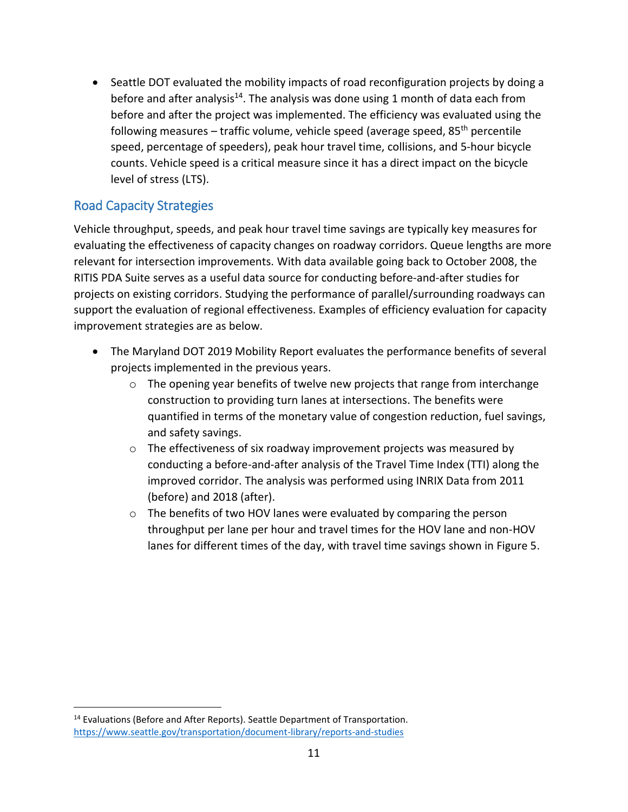Seattle DOT evaluated the mobility impacts of road reconfiguration projects by doing a before and after analysis<sup>14</sup>. The analysis was done using 1 month of data each from before and after the project was implemented. The efficiency was evaluated using the following measures – traffic volume, vehicle speed (average speed, 85<sup>th</sup> percentile speed, percentage of speeders), peak hour travel time, collisions, and 5-hour bicycle counts. Vehicle speed is a critical measure since it has a direct impact on the bicycle level of stress (LTS).

### Road Capacity Strategies

Vehicle throughput, speeds, and peak hour travel time savings are typically key measures for evaluating the effectiveness of capacity changes on roadway corridors. Queue lengths are more relevant for intersection improvements. With data available going back to October 2008, the RITIS PDA Suite serves as a useful data source for conducting before-and-after studies for projects on existing corridors. Studying the performance of parallel/surrounding roadways can support the evaluation of regional effectiveness. Examples of efficiency evaluation for capacity improvement strategies are as below.

- The Maryland DOT 2019 Mobility Report evaluates the performance benefits of several projects implemented in the previous years.
	- o The opening year benefits of twelve new projects that range from interchange construction to providing turn lanes at intersections. The benefits were quantified in terms of the monetary value of congestion reduction, fuel savings, and safety savings.
	- $\circ$  The effectiveness of six roadway improvement projects was measured by conducting a before-and-after analysis of the Travel Time Index (TTI) along the improved corridor. The analysis was performed using INRIX Data from 2011 (before) and 2018 (after).
	- o The benefits of two HOV lanes were evaluated by comparing the person throughput per lane per hour and travel times for the HOV lane and non-HOV lanes for different times of the day, with travel time savings shown in Figure 5.

 $\overline{a}$ <sup>14</sup> Evaluations (Before and After Reports). Seattle Department of Transportation. <https://www.seattle.gov/transportation/document-library/reports-and-studies>